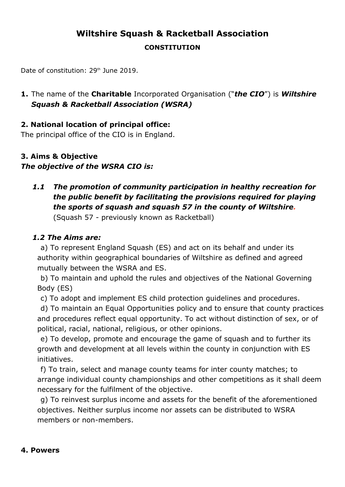# **Wiltshire Squash & Racketball Association CONSTITUTION**

Date of constitution: 29<sup>th</sup> June 2019.

### **1.** The name of the **Charitable** Incorporated Organisation ("*the CIO*") is *Wiltshire Squash & Racketball Association (WSRA)*

#### **2. National location of principal office:**

The principal office of the CIO is in England.

#### **3. Aims & Objective**

#### *The objective of the WSRA CIO is:*

# *1.1 The promotion of community participation in healthy recreation for the public benefit by facilitating the provisions required for playing the sports of squash and squash 57 in the county of Wiltshire.*

(Squash 57 - previously known as Racketball)

#### *1.2 The Aims are:*

a) To represent England Squash (ES) and act on its behalf and under its authority within geographical boundaries of Wiltshire as defined and agreed mutually between the WSRA and ES.

b) To maintain and uphold the rules and objectives of the National Governing Body (ES)

c) To adopt and implement ES child protection guidelines and procedures.

d) To maintain an Equal Opportunities policy and to ensure that county practices and procedures reflect equal opportunity. To act without distinction of sex, or of political, racial, national, religious, or other opinions.

e) To develop, promote and encourage the game of squash and to further its growth and development at all levels within the county in conjunction with ES initiatives.

f) To train, select and manage county teams for inter county matches; to arrange individual county championships and other competitions as it shall deem necessary for the fulfilment of the objective.

g) To reinvest surplus income and assets for the benefit of the aforementioned objectives. Neither surplus income nor assets can be distributed to WSRA members or non-members.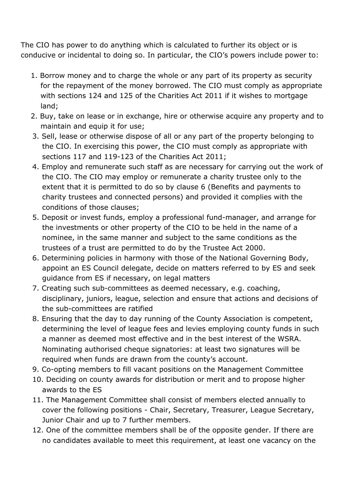The CIO has power to do anything which is calculated to further its object or is conducive or incidental to doing so. In particular, the CIO's powers include power to:

- 1. Borrow money and to charge the whole or any part of its property as security for the repayment of the money borrowed. The CIO must comply as appropriate with sections 124 and 125 of the Charities Act 2011 if it wishes to mortgage land;
- 2. Buy, take on lease or in exchange, hire or otherwise acquire any property and to maintain and equip it for use;
- 3. Sell, lease or otherwise dispose of all or any part of the property belonging to the CIO. In exercising this power, the CIO must comply as appropriate with sections 117 and 119-123 of the Charities Act 2011;
- 4. Employ and remunerate such staff as are necessary for carrying out the work of the CIO. The CIO may employ or remunerate a charity trustee only to the extent that it is permitted to do so by clause 6 (Benefits and payments to charity trustees and connected persons) and provided it complies with the conditions of those clauses;
- 5. Deposit or invest funds, employ a professional fund-manager, and arrange for the investments or other property of the CIO to be held in the name of a nominee, in the same manner and subject to the same conditions as the trustees of a trust are permitted to do by the Trustee Act 2000.
- 6. Determining policies in harmony with those of the National Governing Body, appoint an ES Council delegate, decide on matters referred to by ES and seek guidance from ES if necessary, on legal matters
- 7. Creating such sub-committees as deemed necessary, e.g. coaching, disciplinary, juniors, league, selection and ensure that actions and decisions of the sub-committees are ratified
- 8. Ensuring that the day to day running of the County Association is competent, determining the level of league fees and levies employing county funds in such a manner as deemed most effective and in the best interest of the WSRA. Nominating authorised cheque signatories: at least two signatures will be required when funds are drawn from the county's account.
- 9. Co-opting members to fill vacant positions on the Management Committee
- 10. Deciding on county awards for distribution or merit and to propose higher awards to the ES
- 11. The Management Committee shall consist of members elected annually to cover the following positions - Chair, Secretary, Treasurer, League Secretary, Junior Chair and up to 7 further members.
- 12. One of the committee members shall be of the opposite gender. If there are no candidates available to meet this requirement, at least one vacancy on the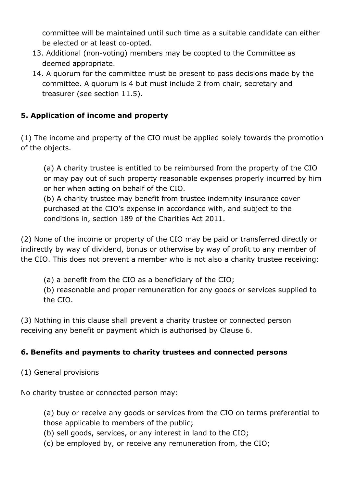committee will be maintained until such time as a suitable candidate can either be elected or at least co-opted.

- 13. Additional (non-voting) members may be coopted to the Committee as deemed appropriate.
- 14. A quorum for the committee must be present to pass decisions made by the committee. A quorum is 4 but must include 2 from chair, secretary and treasurer (see section 11.5).

# **5. Application of income and property**

(1) The income and property of the CIO must be applied solely towards the promotion of the objects.

(a) A charity trustee is entitled to be reimbursed from the property of the CIO or may pay out of such property reasonable expenses properly incurred by him or her when acting on behalf of the CIO.

(b) A charity trustee may benefit from trustee indemnity insurance cover purchased at the CIO's expense in accordance with, and subject to the conditions in, section 189 of the Charities Act 2011.

(2) None of the income or property of the CIO may be paid or transferred directly or indirectly by way of dividend, bonus or otherwise by way of profit to any member of the CIO. This does not prevent a member who is not also a charity trustee receiving:

(a) a benefit from the CIO as a beneficiary of the CIO;

(b) reasonable and proper remuneration for any goods or services supplied to the CIO.

(3) Nothing in this clause shall prevent a charity trustee or connected person receiving any benefit or payment which is authorised by Clause 6.

#### **6. Benefits and payments to charity trustees and connected persons**

(1) General provisions

No charity trustee or connected person may:

(a) buy or receive any goods or services from the CIO on terms preferential to those applicable to members of the public;

(b) sell goods, services, or any interest in land to the CIO;

(c) be employed by, or receive any remuneration from, the CIO;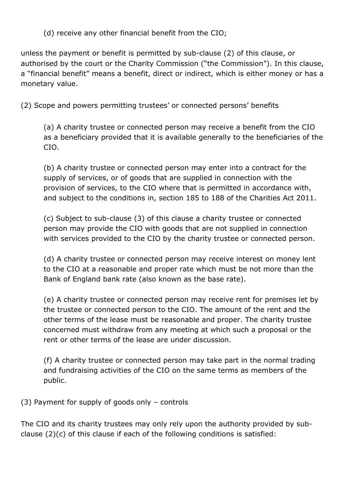(d) receive any other financial benefit from the CIO;

unless the payment or benefit is permitted by sub-clause (2) of this clause, or authorised by the court or the Charity Commission ("the Commission"). In this clause, a "financial benefit" means a benefit, direct or indirect, which is either money or has a monetary value.

(2) Scope and powers permitting trustees' or connected persons' benefits

(a) A charity trustee or connected person may receive a benefit from the CIO as a beneficiary provided that it is available generally to the beneficiaries of the CIO.

(b) A charity trustee or connected person may enter into a contract for the supply of services, or of goods that are supplied in connection with the provision of services, to the CIO where that is permitted in accordance with, and subject to the conditions in, section 185 to 188 of the Charities Act 2011.

(c) Subject to sub-clause (3) of this clause a charity trustee or connected person may provide the CIO with goods that are not supplied in connection with services provided to the CIO by the charity trustee or connected person.

(d) A charity trustee or connected person may receive interest on money lent to the CIO at a reasonable and proper rate which must be not more than the Bank of England bank rate (also known as the base rate).

(e) A charity trustee or connected person may receive rent for premises let by the trustee or connected person to the CIO. The amount of the rent and the other terms of the lease must be reasonable and proper. The charity trustee concerned must withdraw from any meeting at which such a proposal or the rent or other terms of the lease are under discussion.

(f) A charity trustee or connected person may take part in the normal trading and fundraising activities of the CIO on the same terms as members of the public.

(3) Payment for supply of goods only – controls

The CIO and its charity trustees may only rely upon the authority provided by subclause (2)(c) of this clause if each of the following conditions is satisfied: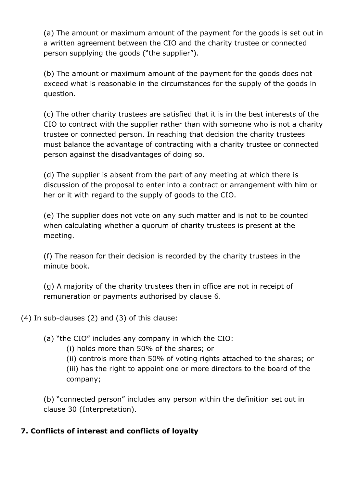(a) The amount or maximum amount of the payment for the goods is set out in a written agreement between the CIO and the charity trustee or connected person supplying the goods ("the supplier").

(b) The amount or maximum amount of the payment for the goods does not exceed what is reasonable in the circumstances for the supply of the goods in question.

(c) The other charity trustees are satisfied that it is in the best interests of the CIO to contract with the supplier rather than with someone who is not a charity trustee or connected person. In reaching that decision the charity trustees must balance the advantage of contracting with a charity trustee or connected person against the disadvantages of doing so.

(d) The supplier is absent from the part of any meeting at which there is discussion of the proposal to enter into a contract or arrangement with him or her or it with regard to the supply of goods to the CIO.

(e) The supplier does not vote on any such matter and is not to be counted when calculating whether a quorum of charity trustees is present at the meeting.

(f) The reason for their decision is recorded by the charity trustees in the minute book.

(g) A majority of the charity trustees then in office are not in receipt of remuneration or payments authorised by clause 6.

(4) In sub-clauses (2) and (3) of this clause:

### (a) "the CIO" includes any company in which the CIO:

(i) holds more than 50% of the shares; or

(ii) controls more than 50% of voting rights attached to the shares; or (iii) has the right to appoint one or more directors to the board of the company;

(b) "connected person" includes any person within the definition set out in clause 30 (Interpretation).

# **7. Conflicts of interest and conflicts of loyalty**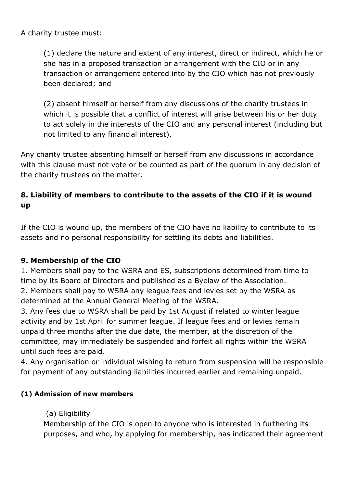A charity trustee must:

(1) declare the nature and extent of any interest, direct or indirect, which he or she has in a proposed transaction or arrangement with the CIO or in any transaction or arrangement entered into by the CIO which has not previously been declared; and

(2) absent himself or herself from any discussions of the charity trustees in which it is possible that a conflict of interest will arise between his or her duty to act solely in the interests of the CIO and any personal interest (including but not limited to any financial interest).

Any charity trustee absenting himself or herself from any discussions in accordance with this clause must not vote or be counted as part of the quorum in any decision of the charity trustees on the matter.

# **8. Liability of members to contribute to the assets of the CIO if it is wound up**

If the CIO is wound up, the members of the CIO have no liability to contribute to its assets and no personal responsibility for settling its debts and liabilities.

**9. Membership of the CIO 1.** Members of the CIO **1.** Members shall pay to the WSRA and ES, subscriptions determined from time to time by its Board of Directors and published as a Byelaw of the Association. 2. Members shall pay to WSRA any league fees and levies set by the WSRA as determined at the Annual General Meeting of the WSRA.

3. Any fees due to WSRA shall be paid by 1st August if related to winter league activity and by 1st April for summer league. If league fees and or levies remain unpaid three months after the due date, the member, at the discretion of the committee, may immediately be suspended and forfeit all rights within the WSRA until such fees are paid.

4. Any organisation or individual wishing to return from suspension will be responsible for payment of any outstanding liabilities incurred earlier and remaining unpaid.

#### **(1) Admission of new members**

(a) Eligibility

Membership of the CIO is open to anyone who is interested in furthering its purposes, and who, by applying for membership, has indicated their agreement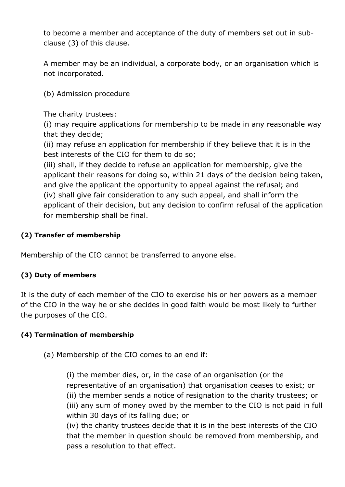to become a member and acceptance of the duty of members set out in subclause (3) of this clause.

A member may be an individual, a corporate body, or an organisation which is not incorporated.

(b) Admission procedure

The charity trustees:

(i) may require applications for membership to be made in any reasonable way that they decide;

(ii) may refuse an application for membership if they believe that it is in the best interests of the CIO for them to do so;

(iii) shall, if they decide to refuse an application for membership, give the applicant their reasons for doing so, within 21 days of the decision being taken, and give the applicant the opportunity to appeal against the refusal; and (iv) shall give fair consideration to any such appeal, and shall inform the applicant of their decision, but any decision to confirm refusal of the application for membership shall be final.

#### **(2) Transfer of membership**

Membership of the CIO cannot be transferred to anyone else.

### **(3) Duty of members**

It is the duty of each member of the CIO to exercise his or her powers as a member of the CIO in the way he or she decides in good faith would be most likely to further the purposes of the CIO.

### **(4) Termination of membership**

(a) Membership of the CIO comes to an end if:

(i) the member dies, or, in the case of an organisation (or the representative of an organisation) that organisation ceases to exist; or (ii) the member sends a notice of resignation to the charity trustees; or (iii) any sum of money owed by the member to the CIO is not paid in full within 30 days of its falling due; or

(iv) the charity trustees decide that it is in the best interests of the CIO that the member in question should be removed from membership, and pass a resolution to that effect.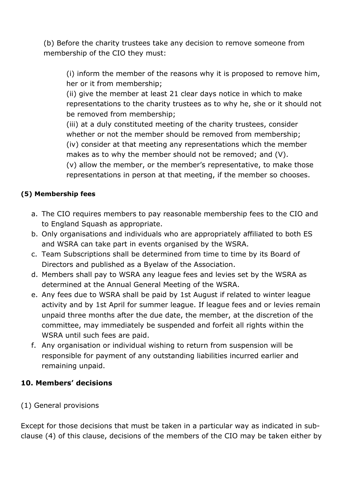(b) Before the charity trustees take any decision to remove someone from membership of the CIO they must:

(i) inform the member of the reasons why it is proposed to remove him, her or it from membership;

(ii) give the member at least 21 clear days notice in which to make representations to the charity trustees as to why he, she or it should not be removed from membership;

(iii) at a duly constituted meeting of the charity trustees, consider whether or not the member should be removed from membership; (iv) consider at that meeting any representations which the member makes as to why the member should not be removed; and (V). (v) allow the member, or the member's representative, to make those

representations in person at that meeting, if the member so chooses.

### **(5) Membership fees**

- a. The CIO requires members to pay reasonable membership fees to the CIO and to England Squash as appropriate.
- b. Only organisations and individuals who are appropriately affiliated to both ES and WSRA can take part in events organised by the WSRA.
- c. Team Subscriptions shall be determined from time to time by its Board of Directors and published as a Byelaw of the Association.
- d. Members shall pay to WSRA any league fees and levies set by the WSRA as determined at the Annual General Meeting of the WSRA.
- e. Any fees due to WSRA shall be paid by 1st August if related to winter league activity and by 1st April for summer league. If league fees and or levies remain unpaid three months after the due date, the member, at the discretion of the committee, may immediately be suspended and forfeit all rights within the WSRA until such fees are paid.
- f. Any organisation or individual wishing to return from suspension will be responsible for payment of any outstanding liabilities incurred earlier and remaining unpaid.

# **10. Members' decisions**

### (1) General provisions

Except for those decisions that must be taken in a particular way as indicated in subclause (4) of this clause, decisions of the members of the CIO may be taken either by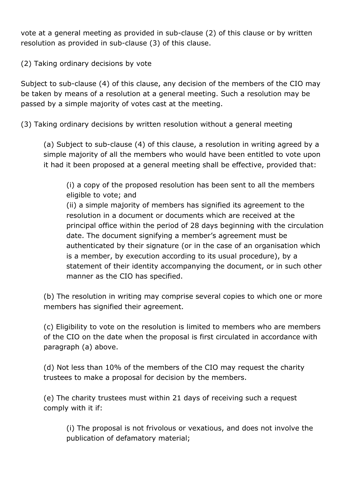vote at a general meeting as provided in sub-clause (2) of this clause or by written resolution as provided in sub-clause (3) of this clause.

(2) Taking ordinary decisions by vote

Subject to sub-clause (4) of this clause, any decision of the members of the CIO may be taken by means of a resolution at a general meeting. Such a resolution may be passed by a simple majority of votes cast at the meeting.

(3) Taking ordinary decisions by written resolution without a general meeting

(a) Subject to sub-clause (4) of this clause, a resolution in writing agreed by a simple majority of all the members who would have been entitled to vote upon it had it been proposed at a general meeting shall be effective, provided that:

(i) a copy of the proposed resolution has been sent to all the members eligible to vote; and

(ii) a simple majority of members has signified its agreement to the resolution in a document or documents which are received at the principal office within the period of 28 days beginning with the circulation date. The document signifying a member's agreement must be authenticated by their signature (or in the case of an organisation which is a member, by execution according to its usual procedure), by a statement of their identity accompanying the document, or in such other manner as the CIO has specified.

(b) The resolution in writing may comprise several copies to which one or more members has signified their agreement.

(c) Eligibility to vote on the resolution is limited to members who are members of the CIO on the date when the proposal is first circulated in accordance with paragraph (a) above.

(d) Not less than 10% of the members of the CIO may request the charity trustees to make a proposal for decision by the members.

(e) The charity trustees must within 21 days of receiving such a request comply with it if:

(i) The proposal is not frivolous or vexatious, and does not involve the publication of defamatory material;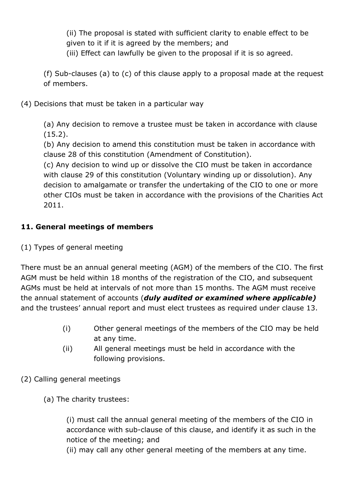(ii) The proposal is stated with sufficient clarity to enable effect to be given to it if it is agreed by the members; and (iii) Effect can lawfully be given to the proposal if it is so agreed.

(f) Sub-clauses (a) to (c) of this clause apply to a proposal made at the request of members.

(4) Decisions that must be taken in a particular way

(a) Any decision to remove a trustee must be taken in accordance with clause (15.2).

(b) Any decision to amend this constitution must be taken in accordance with clause 28 of this constitution (Amendment of Constitution).

(c) Any decision to wind up or dissolve the CIO must be taken in accordance with clause 29 of this constitution (Voluntary winding up or dissolution). Any decision to amalgamate or transfer the undertaking of the CIO to one or more other CIOs must be taken in accordance with the provisions of the Charities Act 2011.

### **11. General meetings of members**

(1) Types of general meeting

There must be an annual general meeting (AGM) of the members of the CIO. The first AGM must be held within 18 months of the registration of the CIO, and subsequent AGMs must be held at intervals of not more than 15 months. The AGM must receive the annual statement of accounts (*duly audited or examined where applicable)* and the trustees' annual report and must elect trustees as required under clause 13.

- (i) Other general meetings of the members of the CIO may be held at any time.
- (ii) All general meetings must be held in accordance with the following provisions.
- (2) Calling general meetings
	- (a) The charity trustees:

(i) must call the annual general meeting of the members of the CIO in accordance with sub-clause of this clause, and identify it as such in the notice of the meeting; and

(ii) may call any other general meeting of the members at any time.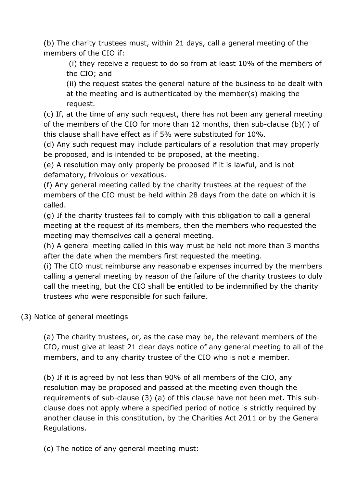(b) The charity trustees must, within 21 days, call a general meeting of the members of the CIO if:

 (i) they receive a request to do so from at least 10% of the members of the CIO; and

(ii) the request states the general nature of the business to be dealt with at the meeting and is authenticated by the member(s) making the request.

(c) If, at the time of any such request, there has not been any general meeting of the members of the CIO for more than 12 months, then sub-clause (b)(i) of this clause shall have effect as if 5% were substituted for 10%.

(d) Any such request may include particulars of a resolution that may properly be proposed, and is intended to be proposed, at the meeting.

(e) A resolution may only properly be proposed if it is lawful, and is not defamatory, frivolous or vexatious.

(f) Any general meeting called by the charity trustees at the request of the members of the CIO must be held within 28 days from the date on which it is called.

(g) If the charity trustees fail to comply with this obligation to call a general meeting at the request of its members, then the members who requested the meeting may themselves call a general meeting.

(h) A general meeting called in this way must be held not more than 3 months after the date when the members first requested the meeting.

(i) The CIO must reimburse any reasonable expenses incurred by the members calling a general meeting by reason of the failure of the charity trustees to duly call the meeting, but the CIO shall be entitled to be indemnified by the charity trustees who were responsible for such failure.

(3) Notice of general meetings

(a) The charity trustees, or, as the case may be, the relevant members of the CIO, must give at least 21 clear days notice of any general meeting to all of the members, and to any charity trustee of the CIO who is not a member.

(b) If it is agreed by not less than 90% of all members of the CIO, any resolution may be proposed and passed at the meeting even though the requirements of sub-clause (3) (a) of this clause have not been met. This subclause does not apply where a specified period of notice is strictly required by another clause in this constitution, by the Charities Act 2011 or by the General Regulations.

(c) The notice of any general meeting must: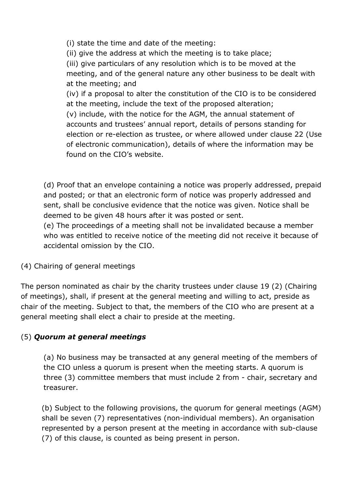(i) state the time and date of the meeting:

(ii) give the address at which the meeting is to take place;

(iii) give particulars of any resolution which is to be moved at the meeting, and of the general nature any other business to be dealt with at the meeting; and

(iv) if a proposal to alter the constitution of the CIO is to be considered at the meeting, include the text of the proposed alteration;

(v) include, with the notice for the AGM, the annual statement of accounts and trustees' annual report, details of persons standing for election or re-election as trustee, or where allowed under clause 22 (Use of electronic communication), details of where the information may be found on the CIO's website.

(d) Proof that an envelope containing a notice was properly addressed, prepaid and posted; or that an electronic form of notice was properly addressed and sent, shall be conclusive evidence that the notice was given. Notice shall be deemed to be given 48 hours after it was posted or sent.

(e) The proceedings of a meeting shall not be invalidated because a member who was entitled to receive notice of the meeting did not receive it because of accidental omission by the CIO.

(4) Chairing of general meetings

The person nominated as chair by the charity trustees under clause 19 (2) (Chairing of meetings), shall, if present at the general meeting and willing to act, preside as chair of the meeting. Subject to that, the members of the CIO who are present at a general meeting shall elect a chair to preside at the meeting.

# (5) *Quorum at general meetings*

(a) No business may be transacted at any general meeting of the members of the CIO unless a quorum is present when the meeting starts. A quorum is three (3) committee members that must include 2 from - chair, secretary and treasurer.

(b) Subject to the following provisions, the quorum for general meetings (AGM) shall be seven (7) representatives (non-individual members). An organisation represented by a person present at the meeting in accordance with sub-clause (7) of this clause, is counted as being present in person.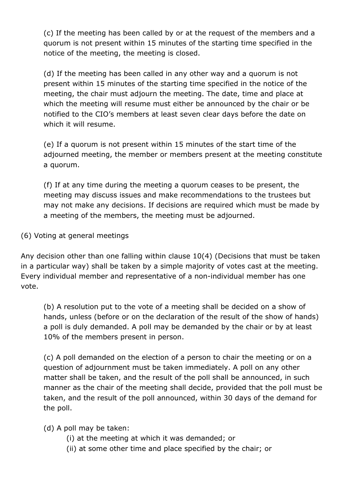(c) If the meeting has been called by or at the request of the members and a quorum is not present within 15 minutes of the starting time specified in the notice of the meeting, the meeting is closed.

(d) If the meeting has been called in any other way and a quorum is not present within 15 minutes of the starting time specified in the notice of the meeting, the chair must adjourn the meeting. The date, time and place at which the meeting will resume must either be announced by the chair or be notified to the CIO's members at least seven clear days before the date on which it will resume.

(e) If a quorum is not present within 15 minutes of the start time of the adjourned meeting, the member or members present at the meeting constitute a quorum.

(f) If at any time during the meeting a quorum ceases to be present, the meeting may discuss issues and make recommendations to the trustees but may not make any decisions. If decisions are required which must be made by a meeting of the members, the meeting must be adjourned.

(6) Voting at general meetings

Any decision other than one falling within clause 10(4) (Decisions that must be taken in a particular way) shall be taken by a simple majority of votes cast at the meeting. Every individual member and representative of a non-individual member has one vote.

(b) A resolution put to the vote of a meeting shall be decided on a show of hands, unless (before or on the declaration of the result of the show of hands) a poll is duly demanded. A poll may be demanded by the chair or by at least 10% of the members present in person.

(c) A poll demanded on the election of a person to chair the meeting or on a question of adjournment must be taken immediately. A poll on any other matter shall be taken, and the result of the poll shall be announced, in such manner as the chair of the meeting shall decide, provided that the poll must be taken, and the result of the poll announced, within 30 days of the demand for the poll.

- (d) A poll may be taken:
	- (i) at the meeting at which it was demanded; or
	- (ii) at some other time and place specified by the chair; or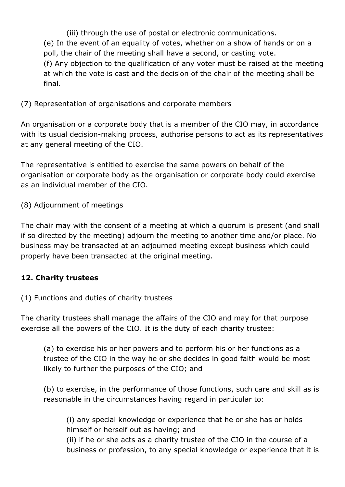(iii) through the use of postal or electronic communications. (e) In the event of an equality of votes, whether on a show of hands or on a poll, the chair of the meeting shall have a second, or casting vote. (f) Any objection to the qualification of any voter must be raised at the meeting at which the vote is cast and the decision of the chair of the meeting shall be final.

(7) Representation of organisations and corporate members

An organisation or a corporate body that is a member of the CIO may, in accordance with its usual decision-making process, authorise persons to act as its representatives at any general meeting of the CIO.

The representative is entitled to exercise the same powers on behalf of the organisation or corporate body as the organisation or corporate body could exercise as an individual member of the CIO.

(8) Adjournment of meetings

The chair may with the consent of a meeting at which a quorum is present (and shall if so directed by the meeting) adjourn the meeting to another time and/or place. No business may be transacted at an adjourned meeting except business which could properly have been transacted at the original meeting.

### **12. Charity trustees**

#### (1) Functions and duties of charity trustees

The charity trustees shall manage the affairs of the CIO and may for that purpose exercise all the powers of the CIO. It is the duty of each charity trustee:

(a) to exercise his or her powers and to perform his or her functions as a trustee of the CIO in the way he or she decides in good faith would be most likely to further the purposes of the CIO; and

(b) to exercise, in the performance of those functions, such care and skill as is reasonable in the circumstances having regard in particular to:

(i) any special knowledge or experience that he or she has or holds himself or herself out as having; and

(ii) if he or she acts as a charity trustee of the CIO in the course of a business or profession, to any special knowledge or experience that it is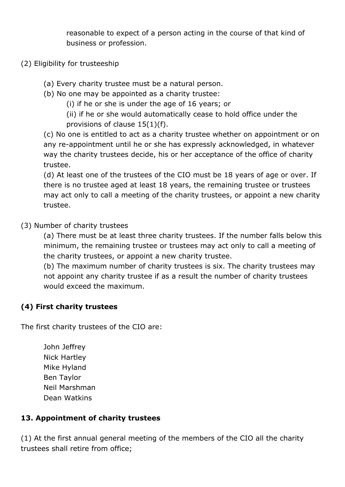reasonable to expect of a person acting in the course of that kind of business or profession.

- (2) Eligibility for trusteeship
	- (a) Every charity trustee must be a natural person.
	- (b) No one may be appointed as a charity trustee:
		- (i) if he or she is under the age of 16 years; or
		- (ii) if he or she would automatically cease to hold office under the provisions of clause 15(1)(f).

(c) No one is entitled to act as a charity trustee whether on appointment or on any re-appointment until he or she has expressly acknowledged, in whatever way the charity trustees decide, his or her acceptance of the office of charity trustee.

(d) At least one of the trustees of the CIO must be 18 years of age or over. If there is no trustee aged at least 18 years, the remaining trustee or trustees may act only to call a meeting of the charity trustees, or appoint a new charity trustee.

(3) Number of charity trustees

(a) There must be at least three charity trustees. If the number falls below this minimum, the remaining trustee or trustees may act only to call a meeting of the charity trustees, or appoint a new charity trustee.

(b) The maximum number of charity trustees is six. The charity trustees may not appoint any charity trustee if as a result the number of charity trustees would exceed the maximum.

# **(4) First charity trustees**

The first charity trustees of the CIO are:

John Jeffrey Nick Hartley Mike Hyland Ben Taylor Neil Marshman Dean Watkins

# **13. Appointment of charity trustees**

(1) At the first annual general meeting of the members of the CIO all the charity trustees shall retire from office;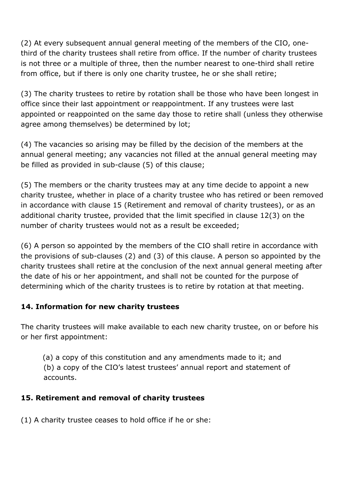(2) At every subsequent annual general meeting of the members of the CIO, onethird of the charity trustees shall retire from office. If the number of charity trustees is not three or a multiple of three, then the number nearest to one-third shall retire from office, but if there is only one charity trustee, he or she shall retire;

(3) The charity trustees to retire by rotation shall be those who have been longest in office since their last appointment or reappointment. If any trustees were last appointed or reappointed on the same day those to retire shall (unless they otherwise agree among themselves) be determined by lot;

(4) The vacancies so arising may be filled by the decision of the members at the annual general meeting; any vacancies not filled at the annual general meeting may be filled as provided in sub-clause (5) of this clause;

(5) The members or the charity trustees may at any time decide to appoint a new charity trustee, whether in place of a charity trustee who has retired or been removed in accordance with clause 15 (Retirement and removal of charity trustees), or as an additional charity trustee, provided that the limit specified in clause 12(3) on the number of charity trustees would not as a result be exceeded;

(6) A person so appointed by the members of the CIO shall retire in accordance with the provisions of sub-clauses (2) and (3) of this clause. A person so appointed by the charity trustees shall retire at the conclusion of the next annual general meeting after the date of his or her appointment, and shall not be counted for the purpose of determining which of the charity trustees is to retire by rotation at that meeting.

### **14. Information for new charity trustees**

The charity trustees will make available to each new charity trustee, on or before his or her first appointment:

(a) a copy of this constitution and any amendments made to it; and (b) a copy of the CIO's latest trustees' annual report and statement of accounts.

### **15. Retirement and removal of charity trustees**

(1) A charity trustee ceases to hold office if he or she: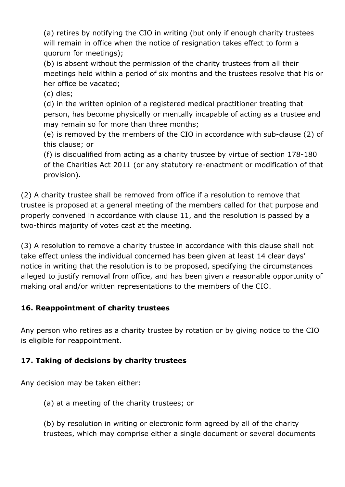(a) retires by notifying the CIO in writing (but only if enough charity trustees will remain in office when the notice of resignation takes effect to form a quorum for meetings);

(b) is absent without the permission of the charity trustees from all their meetings held within a period of six months and the trustees resolve that his or her office be vacated;

(c) dies;

(d) in the written opinion of a registered medical practitioner treating that person, has become physically or mentally incapable of acting as a trustee and may remain so for more than three months;

(e) is removed by the members of the CIO in accordance with sub-clause (2) of this clause; or

(f) is disqualified from acting as a charity trustee by virtue of section 178-180 of the Charities Act 2011 (or any statutory re-enactment or modification of that provision).

(2) A charity trustee shall be removed from office if a resolution to remove that trustee is proposed at a general meeting of the members called for that purpose and properly convened in accordance with clause 11, and the resolution is passed by a two-thirds majority of votes cast at the meeting.

(3) A resolution to remove a charity trustee in accordance with this clause shall not take effect unless the individual concerned has been given at least 14 clear days' notice in writing that the resolution is to be proposed, specifying the circumstances alleged to justify removal from office, and has been given a reasonable opportunity of making oral and/or written representations to the members of the CIO.

# **16. Reappointment of charity trustees**

Any person who retires as a charity trustee by rotation or by giving notice to the CIO is eligible for reappointment.

# **17. Taking of decisions by charity trustees**

Any decision may be taken either:

(a) at a meeting of the charity trustees; or

(b) by resolution in writing or electronic form agreed by all of the charity trustees, which may comprise either a single document or several documents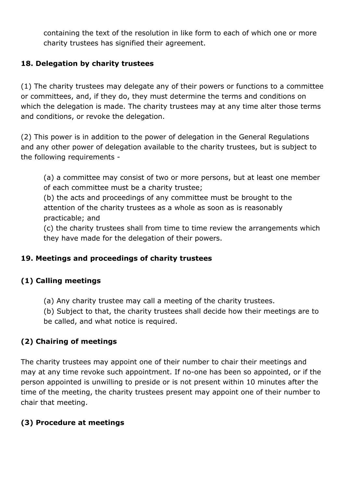containing the text of the resolution in like form to each of which one or more charity trustees has signified their agreement.

#### **18. Delegation by charity trustees**

(1) The charity trustees may delegate any of their powers or functions to a committee or committees, and, if they do, they must determine the terms and conditions on which the delegation is made. The charity trustees may at any time alter those terms and conditions, or revoke the delegation.

(2) This power is in addition to the power of delegation in the General Regulations and any other power of delegation available to the charity trustees, but is subject to the following requirements -

(a) a committee may consist of two or more persons, but at least one member of each committee must be a charity trustee;

(b) the acts and proceedings of any committee must be brought to the attention of the charity trustees as a whole as soon as is reasonably practicable; and

(c) the charity trustees shall from time to time review the arrangements which they have made for the delegation of their powers.

#### **19. Meetings and proceedings of charity trustees**

#### **(1) Calling meetings**

(a) Any charity trustee may call a meeting of the charity trustees.

(b) Subject to that, the charity trustees shall decide how their meetings are to be called, and what notice is required.

### **(2) Chairing of meetings**

The charity trustees may appoint one of their number to chair their meetings and may at any time revoke such appointment. If no-one has been so appointed, or if the person appointed is unwilling to preside or is not present within 10 minutes after the time of the meeting, the charity trustees present may appoint one of their number to chair that meeting.

### **(3) Procedure at meetings**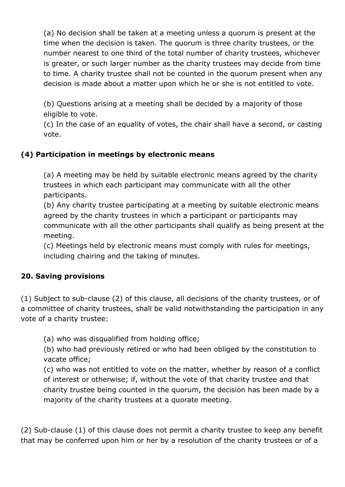(a) No decision shall be taken at a meeting unless a quorum is present at the time when the decision is taken. The quorum is three charity trustees, or the number nearest to one third of the total number of charity trustees, whichever is greater, or such larger number as the charity trustees may decide from time to time. A charity trustee shall not be counted in the quorum present when any decision is made about a matter upon which he or she is not entitled to vote.

(b) Questions arising at a meeting shall be decided by a majority of those eligible to vote.

(c) In the case of an equality of votes, the chair shall have a second, or casting vote.

## **(4) Participation in meetings by electronic means**

(a) A meeting may be held by suitable electronic means agreed by the charity trustees in which each participant may communicate with all the other participants.

(b) Any charity trustee participating at a meeting by suitable electronic means agreed by the charity trustees in which a participant or participants may communicate with all the other participants shall qualify as being present at the meeting.

(c) Meetings held by electronic means must comply with rules for meetings, including chairing and the taking of minutes.

### **20. Saving provisions**

(1) Subject to sub-clause (2) of this clause, all decisions of the charity trustees, or of a committee of charity trustees, shall be valid notwithstanding the participation in any vote of a charity trustee:

(a) who was disqualified from holding office;

(b) who had previously retired or who had been obliged by the constitution to vacate office;

(c) who was not entitled to vote on the matter, whether by reason of a conflict of interest or otherwise; if, without the vote of that charity trustee and that charity trustee being counted in the quorum, the decision has been made by a majority of the charity trustees at a quorate meeting.

(2) Sub-clause (1) of this clause does not permit a charity trustee to keep any benefit that may be conferred upon him or her by a resolution of the charity trustees or of a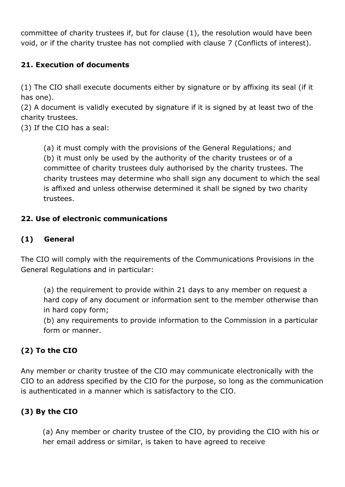committee of charity trustees if, but for clause (1), the resolution would have been void, or if the charity trustee has not complied with clause 7 (Conflicts of interest).

# **21. Execution of documents**

(1) The CIO shall execute documents either by signature or by affixing its seal (if it has one).

(2) A document is validly executed by signature if it is signed by at least two of the charity trustees.

(3) If the CIO has a seal:

(a) it must comply with the provisions of the General Regulations; and (b) it must only be used by the authority of the charity trustees or of a committee of charity trustees duly authorised by the charity trustees. The charity trustees may determine who shall sign any document to which the seal is affixed and unless otherwise determined it shall be signed by two charity trustees.

#### **22. Use of electronic communications**

#### **(1) General**

The CIO will comply with the requirements of the Communications Provisions in the General Regulations and in particular:

(a) the requirement to provide within 21 days to any member on request a hard copy of any document or information sent to the member otherwise than in hard copy form;

(b) any requirements to provide information to the Commission in a particular form or manner.

# **(2) To the CIO**

Any member or charity trustee of the CIO may communicate electronically with the CIO to an address specified by the CIO for the purpose, so long as the communication is authenticated in a manner which is satisfactory to the CIO.

# **(3) By the CIO**

(a) Any member or charity trustee of the CIO, by providing the CIO with his or her email address or similar, is taken to have agreed to receive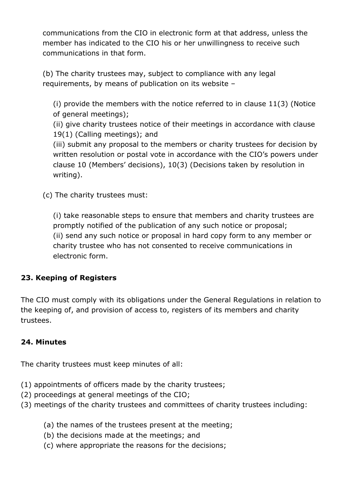communications from the CIO in electronic form at that address, unless the member has indicated to the CIO his or her unwillingness to receive such communications in that form.

(b) The charity trustees may, subject to compliance with any legal requirements, by means of publication on its website –

(i) provide the members with the notice referred to in clause 11(3) (Notice of general meetings);

(ii) give charity trustees notice of their meetings in accordance with clause 19(1) (Calling meetings); and

(iii) submit any proposal to the members or charity trustees for decision by written resolution or postal vote in accordance with the CIO's powers under clause 10 (Members' decisions), 10(3) (Decisions taken by resolution in writing).

(c) The charity trustees must:

(i) take reasonable steps to ensure that members and charity trustees are promptly notified of the publication of any such notice or proposal; (ii) send any such notice or proposal in hard copy form to any member or charity trustee who has not consented to receive communications in electronic form.

### **23. Keeping of Registers**

The CIO must comply with its obligations under the General Regulations in relation to the keeping of, and provision of access to, registers of its members and charity trustees.

### **24. Minutes**

The charity trustees must keep minutes of all:

- (1) appointments of officers made by the charity trustees;
- (2) proceedings at general meetings of the CIO;
- (3) meetings of the charity trustees and committees of charity trustees including:
	- (a) the names of the trustees present at the meeting;
	- (b) the decisions made at the meetings; and
	- (c) where appropriate the reasons for the decisions;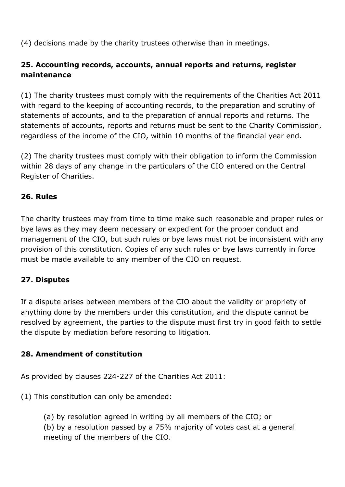(4) decisions made by the charity trustees otherwise than in meetings.

# **25. Accounting records, accounts, annual reports and returns, register maintenance**

(1) The charity trustees must comply with the requirements of the Charities Act 2011 with regard to the keeping of accounting records, to the preparation and scrutiny of statements of accounts, and to the preparation of annual reports and returns. The statements of accounts, reports and returns must be sent to the Charity Commission, regardless of the income of the CIO, within 10 months of the financial year end.

(2) The charity trustees must comply with their obligation to inform the Commission within 28 days of any change in the particulars of the CIO entered on the Central Register of Charities.

### **26. Rules**

The charity trustees may from time to time make such reasonable and proper rules or bye laws as they may deem necessary or expedient for the proper conduct and management of the CIO, but such rules or bye laws must not be inconsistent with any provision of this constitution. Copies of any such rules or bye laws currently in force must be made available to any member of the CIO on request.

### **27. Disputes**

If a dispute arises between members of the CIO about the validity or propriety of anything done by the members under this constitution, and the dispute cannot be resolved by agreement, the parties to the dispute must first try in good faith to settle the dispute by mediation before resorting to litigation.

### **28. Amendment of constitution**

As provided by clauses 224-227 of the Charities Act 2011:

(1) This constitution can only be amended:

(a) by resolution agreed in writing by all members of the CIO; or (b) by a resolution passed by a 75% majority of votes cast at a general meeting of the members of the CIO.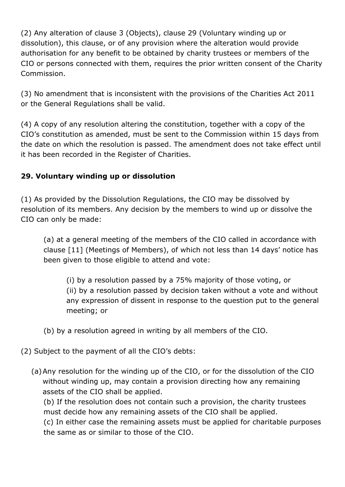(2) Any alteration of clause 3 (Objects), clause 29 (Voluntary winding up or dissolution), this clause, or of any provision where the alteration would provide authorisation for any benefit to be obtained by charity trustees or members of the CIO or persons connected with them, requires the prior written consent of the Charity Commission.

(3) No amendment that is inconsistent with the provisions of the Charities Act 2011 or the General Regulations shall be valid.

(4) A copy of any resolution altering the constitution, together with a copy of the CIO's constitution as amended, must be sent to the Commission within 15 days from the date on which the resolution is passed. The amendment does not take effect until it has been recorded in the Register of Charities.

# **29. Voluntary winding up or dissolution**

(1) As provided by the Dissolution Regulations, the CIO may be dissolved by resolution of its members. Any decision by the members to wind up or dissolve the CIO can only be made:

(a) at a general meeting of the members of the CIO called in accordance with clause [11] (Meetings of Members), of which not less than 14 days' notice has been given to those eligible to attend and vote:

(i) by a resolution passed by a 75% majority of those voting, or (ii) by a resolution passed by decision taken without a vote and without any expression of dissent in response to the question put to the general meeting; or

- (b) by a resolution agreed in writing by all members of the CIO.
- (2) Subject to the payment of all the CIO's debts:
	- (a)Any resolution for the winding up of the CIO, or for the dissolution of the CIO without winding up, may contain a provision directing how any remaining assets of the CIO shall be applied.

(b) If the resolution does not contain such a provision, the charity trustees must decide how any remaining assets of the CIO shall be applied.

(c) In either case the remaining assets must be applied for charitable purposes the same as or similar to those of the CIO.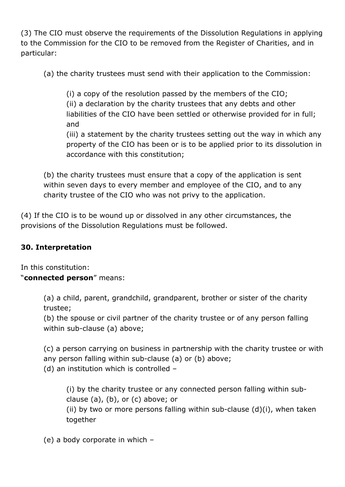(3) The CIO must observe the requirements of the Dissolution Regulations in applying to the Commission for the CIO to be removed from the Register of Charities, and in particular:

(a) the charity trustees must send with their application to the Commission:

(i) a copy of the resolution passed by the members of the CIO;

(ii) a declaration by the charity trustees that any debts and other

liabilities of the CIO have been settled or otherwise provided for in full; and

(iii) a statement by the charity trustees setting out the way in which any property of the CIO has been or is to be applied prior to its dissolution in accordance with this constitution;

(b) the charity trustees must ensure that a copy of the application is sent within seven days to every member and employee of the CIO, and to any charity trustee of the CIO who was not privy to the application.

(4) If the CIO is to be wound up or dissolved in any other circumstances, the provisions of the Dissolution Regulations must be followed.

# **30. Interpretation**

# In this constitution: "**connected person**" means:

(a) a child, parent, grandchild, grandparent, brother or sister of the charity trustee;

(b) the spouse or civil partner of the charity trustee or of any person falling within sub-clause (a) above;

(c) a person carrying on business in partnership with the charity trustee or with any person falling within sub-clause (a) or (b) above;

(d) an institution which is controlled –

(i) by the charity trustee or any connected person falling within subclause  $(a)$ ,  $(b)$ , or  $(c)$  above; or (ii) by two or more persons falling within sub-clause  $(d)(i)$ , when taken together

(e) a body corporate in which –